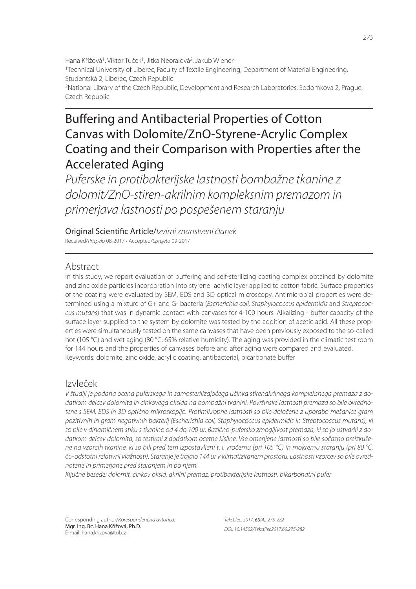Hana Křížová<sup>1</sup>, Viktor Tuček<sup>1</sup>, Jitka Neoralová<sup>2</sup>, Jakub Wiener<sup>1</sup> <sup>1</sup>Technical University of Liberec, Faculty of Textile Engineering, Department of Material Engineering, Studentská 2, Liberec, Czech Republic <sup>2</sup>National Library of the Czech Republic, Development and Research Laboratories, Sodomkova 2, Prague, Czech Republic

# Buffering and Antibacterial Properties of Cotton Canvas with Dolomite/ZnO-Styrene-Acrylic Complex Coating and their Comparison with Properties after the Accelerated Aging

*Puferske in protibakterijske lastnosti bombažne tkanine z dolomit/ZnO-stiren-akrilnim kompleksnim premazom in primerjava lastnosti po pospešenem staranju*

Original Scienti" c Article/*Izvirni znanstveni članek* Received/*Prispelo* 08-2017 • Accepted/*Sprejeto* 09-2017

# Abstract

In this study, we report evaluation of buffering and self-sterilizing coating complex obtained by dolomite and zinc oxide particles incorporation into styrene–acrylic layer applied to cotton fabric. Surface properties of the coating were evaluated by SEM, EDS and 3D optical microscopy. Antimicrobial properties were determined using a mixture of G+ and G- bacteria (*Escherichia coli, Staphylococcus epidermidis* and *Streptococcus mutans*) that was in dynamic contact with canvases for 4-100 hours. Alkalizing - buffer capacity of the surface layer supplied to the system by dolomite was tested by the addition of acetic acid. All these properties were simultaneously tested on the same canvases that have been previously exposed to the so-called hot (105 °C) and wet aging (80 °C, 65% relative humidity). The aging was provided in the climatic test room for 144 hours and the properties of canvases before and after aging were compared and evaluated. Keywords: dolomite, zinc oxide, acrylic coating, antibacterial, bicarbonate buffer

# Izvleček

*V študiji je podana ocena puferskega in samosterilizajočega učinka stirenakrilnega kompleksnega premaza z dodatkom delcev dolomita in cinkovega oksida na bombažni tkanini. Površinske lastnosti premaza so bile ovrednotene s SEM, EDS in 3D optično mikroskopijo. Protimikrobne lastnosti so bile določene z uporabo mešanice gram pozitivnih in gram negativnih bakterij (Escherichia coli, Staphylococcus epidermidis in Streptococcus mutans), ki so bile v dinamičnem stiku s tkanino od 4 do 100 ur. Bazično-pufersko zmogljivost premaza, ki so jo ustvarili z dodatkom delcev dolomita, so testirali z dodatkom ocetne kisline. Vse omenjene lastnosti so bile sočasno preizkušene na vzorcih tkanine, ki so bili pred tem izpostavljeni t. i. vročemu (pri 105 °C) in mokremu staranju (pri 80 °C, 65-odstotni relativni vlažnosti). Staranje je trajalo 144 ur v klimatiziranem prostoru. Lastnosti vzorcev so bile ovrednotene in primerjane pred staranjem in po njem.*

*Ključne besede: dolomit, cinkov oksid, akrilni premaz, protibakterijske lastnosti, bikarbonatni pufer*

Corresponding author/*Korespondenčna avtorica:* Mgr. Ing. Bc. Hana Křížová, Ph.D. E-mail: hana.krizova@tul.cz

*Tekstilec, 2017,* 60*(4), 275-282 DOI: 10.14502/Tekstilec2017.60.275-282*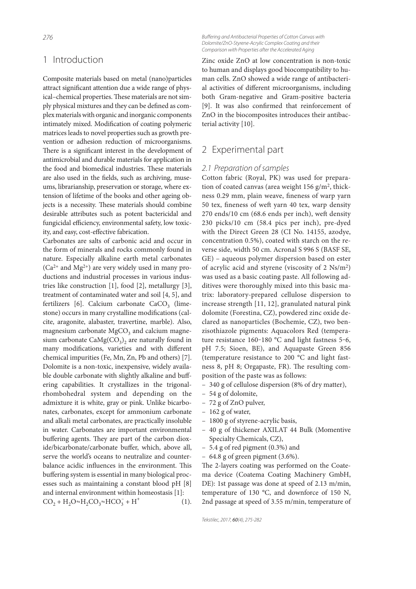## 1 Introduction

Composite materials based on metal (nano)particles attract significant attention due a wide range of physical-chemical properties. These materials are not simply physical mixtures and they can be defined as complex materials with organic and inorganic components intimately mixed. Modification of coating polymeric matrices leads to novel properties such as growth prevention or adhesion reduction of microorganisms. There is a significant interest in the development of antimicrobial and durable materials for application in the food and biomedical industries. These materials are also used in the fields, such as archiving, museums, librarianship, preservation or storage, where extension of lifetime of the books and other ageing objects is a necessity. These materials should combine desirable attributes such as potent bactericidal and fungicidal efficiency, environmental safety, low toxicity, and easy, cost-effective fabrication.

Carbonates are salts of carbonic acid and occur in the form of minerals and rocks commonly found in nature. Especially alkaline earth metal carbonates  $(Ca^{2+}$  and  $Mg^{2+}$ ) are very widely used in many productions and industrial processes in various industries like construction [1], food [2], metallurgy [3], treatment of contaminated water and soil [4, 5], and fertilizers [6]. Calcium carbonate  $CaCO<sub>3</sub>$  (limestone) occurs in many crystalline modifications (calcite, aragonite, alabaster, travertine, marble). Also, magnesium carbonate  $MgCO<sub>3</sub>$  and calcium magnesium carbonate  $\text{CaMg(CO}_3)_2$  are naturally found in many modifications, varieties and with different chemical impurities (Fe, Mn, Zn, Pb and others) [7]. Dolomite is a non-toxic, inexpensive, widely available double carbonate with slightly alkaline and buffering capabilities. It crystallizes in the trigonalrhombohedral system and depending on the admixture it is white, gray or pink. Unlike bicarbonates, carbonates, except for ammonium carbonate and alkali metal carbonates, are practically insoluble in water. Carbonates are important environmental buffering agents. They are part of the carbon dioxide/bicarbonate/carbonate buffer, which, above all, serve the world's oceans to neutralize and counterbalance acidic influences in the environment. This buffering system is essential in many biological processes such as maintaining a constant blood pH [8] and internal environment within homeostasis [1]:  $CO_2 + H_2O = H_2CO_3 = HCO_3 + H^+$ (1).

**Buffering and Antibacterial Properties of Cotton Canvas with** *Dolomite/ZnO-Styrene-Acrylic Complex Coating and their Comparison with Properties after the Accelerated Aging*

Zinc oxide ZnO at low concentration is non-toxic to human and displays good biocompatibility to human cells. ZnO showed a wide range of antibacterial activities of different microorganisms, including both Gram-negative and Gram-positive bacteria [9]. It was also confirmed that reinforcement of ZnO in the biocomposites introduces their antibacterial activity [10].

# 2 Experimental part

#### *2.1 Preparation of samples*

Cotton fabric (Royal, PK) was used for preparation of coated canvas (area weight 156 g/m<sup>2</sup>, thickness 0.29 mm, plain weave, fineness of warp yarn 50 tex, fineness of weft yarn 40 tex, warp density  $270$  ends/10 cm (68.6 ends per inch), weft density 230 picks/10 cm (58.4 pics per inch), pre-dyed with the Direct Green 28 (CI No. 14155, azodye, concentration 0.5%), coated with starch on the reverse side, width 50 cm. Acronal S 996 S (BASF SE, GE) – aqueous polymer dispersion based on ester of acrylic acid and styrene (viscosity of 2 Ns/m<sup>2</sup>) was used as a basic coating paste. All following additives were thoroughly mixed into this basic matrix: laboratory-prepared cellulose dispersion to increase strength [11, 12], granulated natural pink dolomite (Forestina, CZ), powdered zinc oxide declared as nanoparticles (Bochemie, CZ), two benzisothiazole pigments: Aquacolors Red (temperature resistance 160-180 °C and light fastness 5-6, pH 7.5; Sioen, BE), and Aquapaste Green 856 (temperature resistance to 200 °C and light fastness 8, pH 8; Orgapaste, FR). The resulting composition of the paste was as follows:

- 340 g of cellulose dispersion (8% of dry matter),
- 54 g of dolomite,
- 72 g of ZnO pulver,
- 162 g of water,
- 1800 g of styrene-acrylic basis,
- 40 g of thickener AXILAT 44 Bulk (Momentive Specialty Chemicals, CZ),
- 5.4 g of red pigment (0.3%) and
- $-64.8$  g of green pigment  $(3.6\%)$ .

The 2-layers coating was performed on the Coatema device (Coatema Coating Machinery GmbH, DE): 1st passage was done at speed of 2.13 m/min, temperature of 130 °C, and downforce of 150 N, 2nd passage at speed of 3.55 m/min, temperature of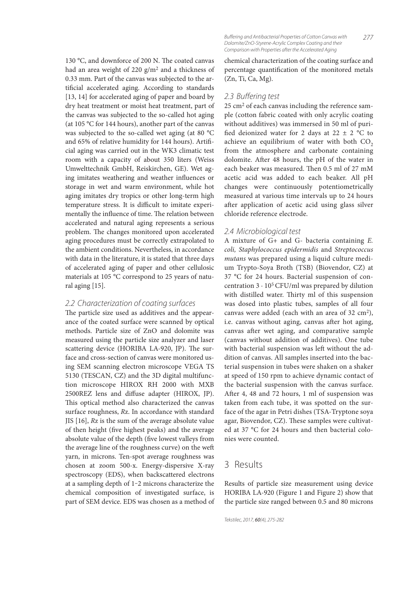130 °C, and downforce of 200 N. The coated canvas had an area weight of 220 g/m<sup>2</sup> and a thickness of 0.33 mm. Part of the canvas was subjected to the artificial accelerated aging. According to standards [13, 14] for accelerated aging of paper and board by dry heat treatment or moist heat treatment, part of the canvas was subjected to the so-called hot aging (at 105 °C for 144 hours), another part of the canvas was subjected to the so-called wet aging (at 80 °C and 65% of relative humidity for 144 hours). Artificial aging was carried out in the WK3 climatic test room with a capacity of about 350 liters (Weiss Umwelttechnik GmbH, Reiskirchen, GE). Wet aging imitates weathering and weather influences or storage in wet and warm environment, while hot aging imitates dry tropics or other long-term high temperature stress. It is difficult to imitate experimentally the influence of time. The relation between accelerated and natural aging represents a serious problem. The changes monitored upon accelerated aging procedures must be correctly extrapolated to the ambient conditions. Nevertheless, in accordance with data in the literature, it is stated that three days of accelerated aging of paper and other cellulosic materials at 105 °C correspond to 25 years of natural aging [15].

#### *2.2 Characterization of coating surfaces*

The particle size used as additives and the appearance of the coated surface were scanned by optical methods. Particle size of ZnO and dolomite was measured using the particle size analyzer and laser scattering device (HORIBA LA-920, JP). The surface and cross-section of canvas were monitored using SEM scanning electron microscope VEGA TS 5130 (TESCAN, CZ) and the 3D digital multifunction microscope HIROX RH 2000 with MXB 2500REZ lens and diffuse adapter (HIROX, JP). This optical method also characterized the canvas surface roughness, Rz. In accordance with standard JIS [16], Rz is the sum of the average absolute value of then height (five highest peaks) and the average absolute value of the depth (five lowest valleys from the average line of the roughness curve) on the weft yarn, in microns. Ten-spot average roughness was chosen at zoom 500-x. Energy-dispersive X-ray spectroscopy (EDS), when backscattered electrons at a sampling depth of 1‒2 microns characterize the chemical composition of investigated surface, is part of SEM device. EDS was chosen as a method of

*277* **Buffering and Antibacterial Properties of Cotton Canvas with** *Dolomite/ZnO-Styrene-Acrylic Complex Coating and their Comparison with Properties after the Accelerated Aging*

chemical characterization of the coating surface and percentage quantification of the monitored metals (Zn, Ti, Ca, Mg).

#### 2.3 Buffering test

25 cm<sup>2</sup> of each canvas including the reference sample (cotton fabric coated with only acrylic coating without additives) was immersed in 50 ml of puri fied deionized water for 2 days at  $22 \pm 2$  °C to achieve an equilibrium of water with both  $CO<sub>2</sub>$ from the atmosphere and carbonate containing dolomite. After 48 hours, the pH of the water in each beaker was measured. Then 0.5 ml of 27 mM acetic acid was added to each beaker. All pH changes were continuously potentiometrically measured at various time intervals up to 24 hours after application of acetic acid using glass silver chloride reference electrode.

#### *2.4 Microbiological test*

A mixture of G+ and G- bacteria containing E. coli, Staphylococcus epidermidis and Streptococcus mutans was prepared using a liquid culture medium Trypto-Soya Broth (TSB) (Biovendor, CZ) at 37 °C for 24 hours. Bacterial suspension of concentration  $3 \cdot 10^5$  CFU/ml was prepared by dilution with distilled water. Thirty ml of this suspension was dosed into plastic tubes, samples of all four canvas were added (each with an area of 32 cm<sup>2</sup>), i.e. canvas without aging, canvas after hot aging, canvas after wet aging, and comparative sample (canvas without addition of additives). One tube with bacterial suspension was left without the addition of canvas. All samples inserted into the bacterial suspension in tubes were shaken on a shaker at speed of 150 rpm to achieve dynamic contact of the bacterial suspension with the canvas surface. After 4, 48 and 72 hours, 1 ml of suspension was taken from each tube, it was spotted on the surface of the agar in Petri dishes (TSA-Tryptone soya agar, Biovendor, CZ). These samples were cultivated at 37 °C for 24 hours and then bacterial colonies were counted.

#### 3 Results

Results of particle size measurement using device HORIBA LA-920 (Figure 1 and Figure 2) show that the particle size ranged between 0.5 and 80 microns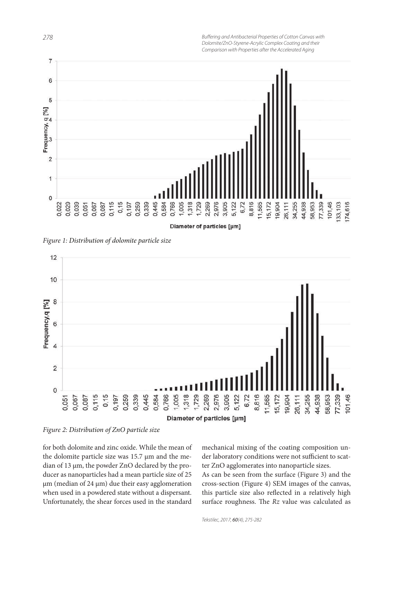**Buffering and Antibacterial Properties of Cotton Canvas with** *Dolomite/ZnO-Styrene-Acrylic Complex Coating and their Comparison with Properties after the Accelerated Aging*



Figure 1: Distribution of dolomite particle size



Figure 2: Distribution of ZnO particle size

for both dolomite and zinc oxide. While the mean of the dolomite particle size was 15.7 μm and the median of 13 μm, the powder ZnO declared by the producer as nanoparticles had a mean particle size of 25 μm (median of 24 μm) due their easy agglomeration when used in a powdered state without a dispersant. Unfortunately, the shear forces used in the standard mechanical mixing of the coating composition under laboratory conditions were not sufficient to scatter ZnO agglomerates into nanoparticle sizes.

As can be seen from the surface (Figure 3) and the cross-section (Figure 4) SEM images of the canvas, this particle size also reflected in a relatively high surface roughness. The  $Rz$  value was calculated as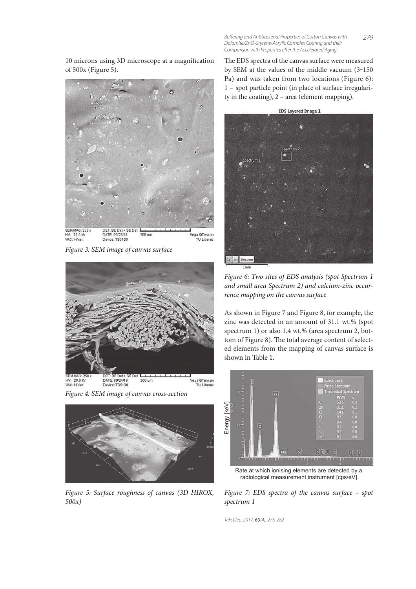10 microns using 3D microscope at a magnification of 500x (Figure 5).



Figure 3: SEM image of canvas surface



Figure 4: SEM image of canvas cross-section



Figure 5: Surface roughness of canvas (3D HIROX, 500x)

The EDS spectra of the canvas surface were measured by SEM at the values of the middle vacuum (3‒150 Pa) and was taken from two locations (Figure 6): 1 – spot particle point (in place of surface irregularity in the coating),  $2 - \text{area}$  (element mapping).



Figure 6: Two sites of EDS analysis (spot Spectrum 1 and small area Spectrum 2) and calcium-zinc occurrence mapping on the canvas surface

As shown in Figure 7 and Figure 8, for example, the zinc was detected in an amount of 31.1 wt.% (spot spectrum 1) or also 1.4 wt.% (area spectrum 2, bottom of Figure 8). The total average content of selected elements from the mapping of canvas surface is shown in Table 1.



Rate at which ionising elements are detected by a radiological measurement instrument [cps/eV]

Figure 7: EDS spectra of the canvas surface – spot spectrum 1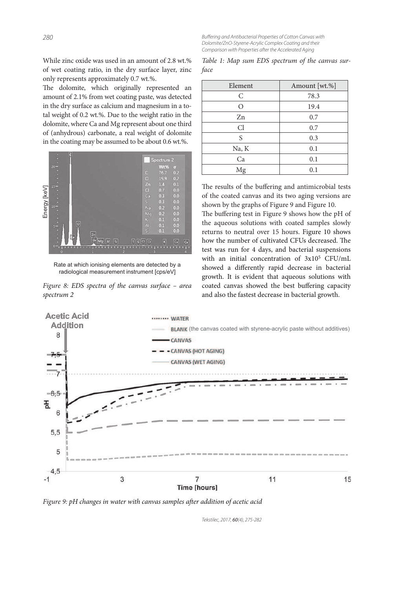While zinc oxide was used in an amount of 2.8 wt.% of wet coating ratio, in the dry surface layer, zinc only represents approximately 0.7 wt.%.

The dolomite, which originally represented an amount of 2.1% from wet coating paste, was detected in the dry surface as calcium and magnesium in a total weight of 0.2 wt.%. Due to the weight ratio in the dolomite, where Ca and Mg represent about one third of (anhydrous) carbonate, a real weight of dolomite in the coating may be assumed to be about 0.6 wt.%.



Rate at which ionising elements are detected by a radiological measurement instrument [cps/eV]

Figure 8: EDS spectra of the canvas surface – area spectrum 2

**Buffering and Antibacterial Properties of Cotton Canvas with** *Dolomite/ZnO-Styrene-Acrylic Complex Coating and their Comparison with Properties after the Accelerated Aging*

|      |  |  | Table 1: Map sum EDS spectrum of the canvas sur- |  |  |
|------|--|--|--------------------------------------------------|--|--|
| face |  |  |                                                  |  |  |

| Element          | Amount [wt.%] |
|------------------|---------------|
| С                | 78.3          |
| $\left( \right)$ | 19.4          |
| Zn               | 0.7           |
| Cl               | 0.7           |
| S                | 0.3           |
| Na, K            | 0.1           |
| Ca               | 0.1           |
| Mg               | 0.1           |

The results of the buffering and antimicrobial tests of the coated canvas and its two aging versions are shown by the graphs of Figure 9 and Figure 10.

The buffering test in Figure 9 shows how the pH of the aqueous solutions with coated samples slowly returns to neutral over 15 hours. Figure 10 shows how the number of cultivated CFUs decreased. The test was run for 4 days, and bacterial suspensions with an initial concentration of 3x10<sup>5</sup> CFU/mL showed a differently rapid decrease in bacterial growth. It is evident that aqueous solutions with coated canvas showed the best buffering capacity and also the fastest decrease in bacterial growth.



Figure 9: pH changes in water with canvas samples after addition of acetic acid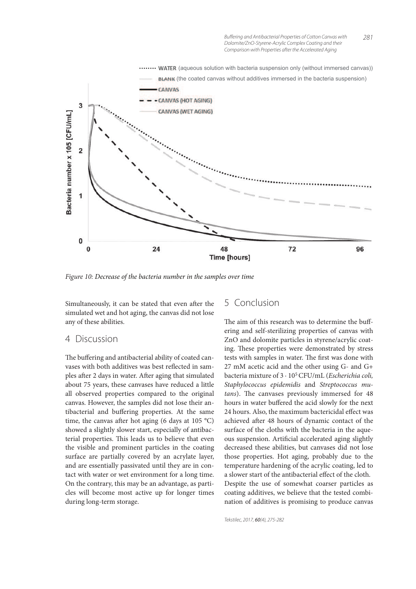

Figure 10: Decrease of the bacteria number in the samples over time

Simultaneously, it can be stated that even after the simulated wet and hot aging, the canvas did not lose any of these abilities.

#### 4 Discussion

The buffering and antibacterial ability of coated canvases with both additives was best reflected in samples after 2 days in water. After aging that simulated about 75 years, these canvases have reduced a little all observed properties compared to the original canvas. However, the samples did not lose their antibacterial and buffering properties. At the same time, the canvas after hot aging (6 days at 105 °C) showed a slightly slower start, especially of antibacterial properties. This leads us to believe that even the visible and prominent particles in the coating surface are partially covered by an acrylate layer, and are essentially passivated until they are in contact with water or wet environment for a long time. On the contrary, this may be an advantage, as particles will become most active up for longer times during long-term storage.

### 5 Conclusion

The aim of this research was to determine the buffering and self-sterilizing properties of canvas with ZnO and dolomite particles in styrene/acrylic coating. These properties were demonstrated by stress tests with samples in water. The first was done with 27 mM acetic acid and the other using G- and G+ bacteria mixture of  $3 \cdot 10^5$  CFU/mL (*Escherichia coli*, Staphylococcus epidemidis and Streptococcus mutans). The canvases previously immersed for 48 hours in water buffered the acid slowly for the next 24 hours. Also, the maximum bactericidal effect was achieved after 48 hours of dynamic contact of the surface of the cloths with the bacteria in the aqueous suspension. Artificial accelerated aging slightly decreased these abilities, but canvases did not lose those properties. Hot aging, probably due to the temperature hardening of the acrylic coating, led to a slower start of the antibacterial effect of the cloth. Despite the use of somewhat coarser particles as coating additives, we believe that the tested combination of additives is promising to produce canvas